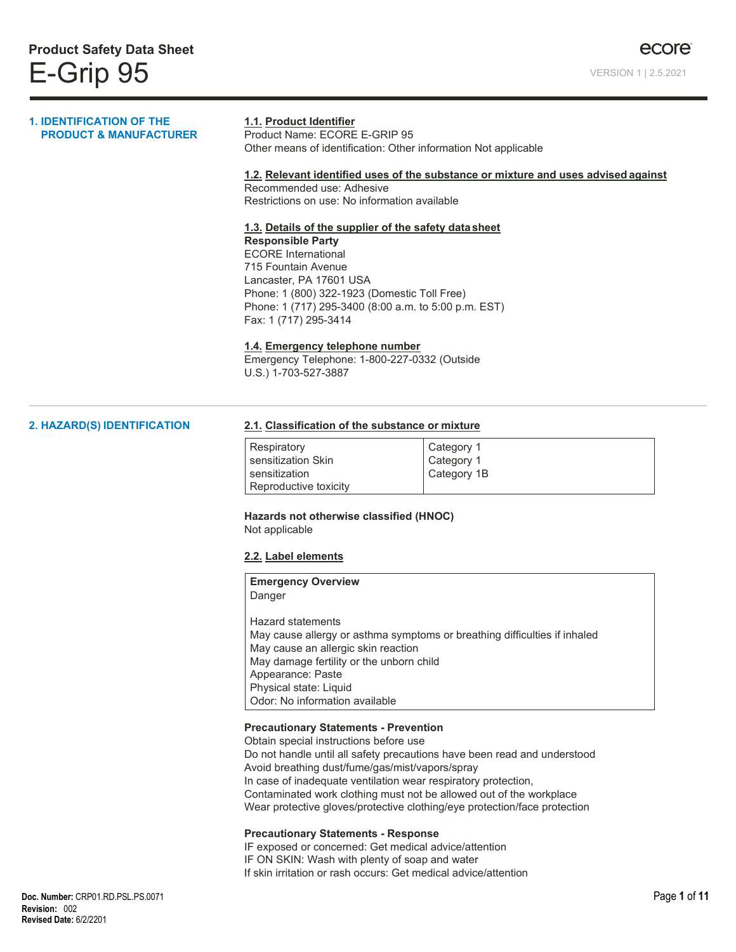#### **1. IDENTIFICATION OF THE PRODUCT & MANUFACTURER**

#### **1.1. Product Identifier**

Product Name: ECORE E-GRIP 95 Other means of identification: Other information Not applicable

#### **1.2. Relevant identified uses of the substance or mixture and uses advised against**

Recommended use: Adhesive Restrictions on use: No information available

#### **1.3. Details of the supplier of the safety datasheet**

**Responsible Party** ECORE International 715 Fountain Avenue Lancaster, PA 17601 USA Phone: 1 (800) 322-1923 (Domestic Toll Free) Phone: 1 (717) 295-3400 (8:00 a.m. to 5:00 p.m. EST) Fax: 1 (717) 295-3414

#### **1.4. Emergency telephone number**

Emergency Telephone: 1-800-227-0332 (Outside U.S.) 1-703-527-3887

#### **2. HAZARD(S) IDENTIFICATION**

#### **2.1. Classification of the substance or mixture**

| Respiratory           | Category 1  |
|-----------------------|-------------|
| sensitization Skin    | Category 1  |
| sensitization         | Category 1B |
| Reproductive toxicity |             |

**Hazards not otherwise classified (HNOC)** Not applicable

#### **2.2. Label elements**

| <b>Emergency Overview</b>           |                                                                           |
|-------------------------------------|---------------------------------------------------------------------------|
| Danger                              |                                                                           |
| Hazard statements                   |                                                                           |
|                                     | May cause allergy or asthma symptoms or breathing difficulties if inhaled |
| May cause an allergic skin reaction |                                                                           |
|                                     | May damage fertility or the unborn child                                  |
| Appearance: Paste                   |                                                                           |
| Physical state: Liquid              |                                                                           |
| Odor: No information available      |                                                                           |

#### **Precautionary Statements - Prevention**

Obtain special instructions before use Do not handle until all safety precautions have been read and understood Avoid breathing dust/fume/gas/mist/vapors/spray In case of inadequate ventilation wear respiratory protection, Contaminated work clothing must not be allowed out of the workplace Wear protective gloves/protective clothing/eye protection/face protection

#### **Precautionary Statements - Response**

IF exposed or concerned: Get medical advice/attention IF ON SKIN: Wash with plenty of soap and water If skin irritation or rash occurs: Get medical advice/attention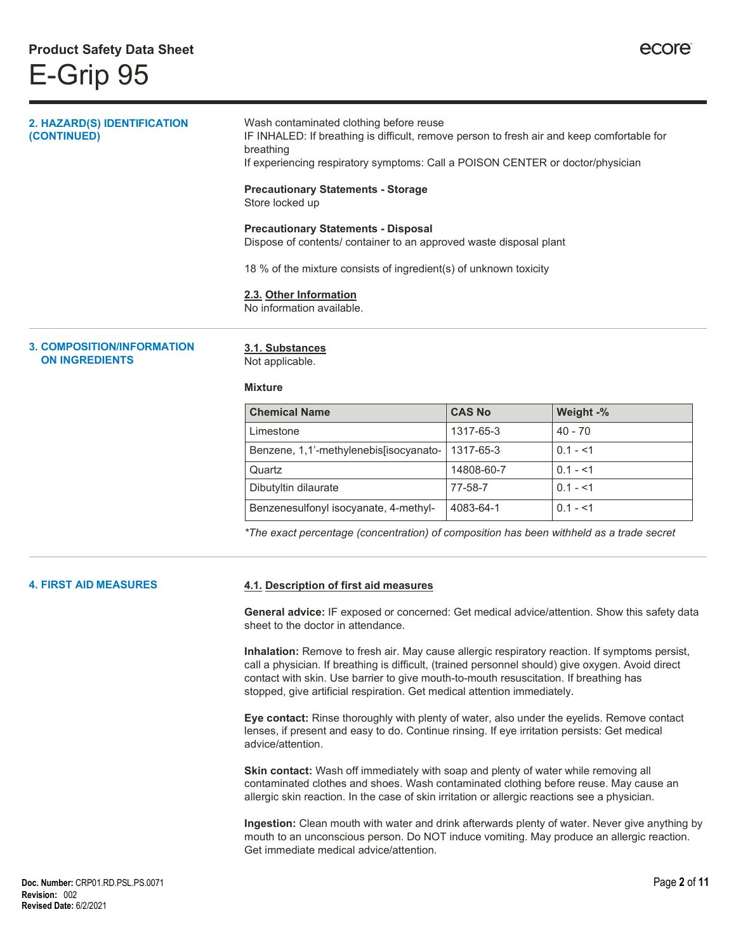| A AALIBAAITIALIILIFABLI LTIALI             |                                                                                                                                                                                                                                      |
|--------------------------------------------|--------------------------------------------------------------------------------------------------------------------------------------------------------------------------------------------------------------------------------------|
|                                            | 2.3. Other Information<br>No information available.                                                                                                                                                                                  |
|                                            | 18 % of the mixture consists of ingredient(s) of unknown toxicity                                                                                                                                                                    |
|                                            | <b>Precautionary Statements - Disposal</b><br>Dispose of contents/ container to an approved waste disposal plant                                                                                                                     |
|                                            | <b>Precautionary Statements - Storage</b><br>Store locked up                                                                                                                                                                         |
| 2. HAZARD(S) IDENTIFICATION<br>(CONTINUED) | Wash contaminated clothing before reuse<br>IF INHALED: If breathing is difficult, remove person to fresh air and keep comfortable for<br>breathing<br>If experiencing respiratory symptoms: Call a POISON CENTER or doctor/physician |
|                                            |                                                                                                                                                                                                                                      |

**3. COMPOSITION/INFORMATION ON INGREDIENTS**

**3.1. Substances**

Not applicable.

#### **Mixture**

| <b>Chemical Name</b>                   | <b>CAS No</b> | Weight -%  |
|----------------------------------------|---------------|------------|
| Limestone                              | 1317-65-3     | $40 - 70$  |
| Benzene, 1,1'-methylenebis[isocyanato- | 1317-65-3     | $0.1 - 51$ |
| Quartz                                 | 14808-60-7    | $0.1 - 51$ |
| Dibutyltin dilaurate                   | 77-58-7       | $0.1 - 51$ |
| Benzenesulfonyl isocyanate, 4-methyl-  | 4083-64-1     | $0.1 - 1$  |

*\*The exact percentage (concentration) of composition has been withheld as a trade secret*

#### **4. FIRST AID MEASURES**

#### **4.1. Description of first aid measures**

**General advice:** IF exposed or concerned: Get medical advice/attention. Show this safety data sheet to the doctor in attendance.

**Inhalation:** Remove to fresh air. May cause allergic respiratory reaction. If symptoms persist, call a physician. If breathing is difficult, (trained personnel should) give oxygen. Avoid direct contact with skin. Use barrier to give mouth-to-mouth resuscitation. If breathing has stopped, give artificial respiration. Get medical attention immediately.

**Eye contact:** Rinse thoroughly with plenty of water, also under the eyelids. Remove contact lenses, if present and easy to do. Continue rinsing. If eye irritation persists: Get medical advice/attention.

**Skin contact:** Wash off immediately with soap and plenty of water while removing all contaminated clothes and shoes. Wash contaminated clothing before reuse. May cause an allergic skin reaction. In the case of skin irritation or allergic reactions see a physician.

**Ingestion:** Clean mouth with water and drink afterwards plenty of water. Never give anything by mouth to an unconscious person. Do NOT induce vomiting. May produce an allergic reaction. Get immediate medical advice/attention.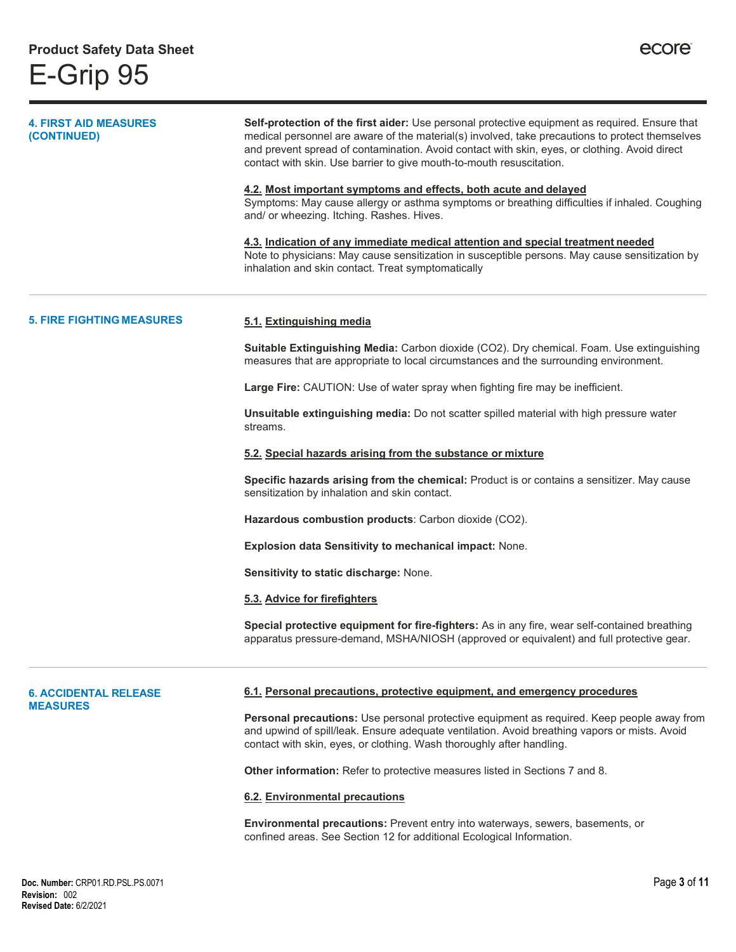| <b>4. FIRST AID MEASURES</b><br>(CONTINUED) | Self-protection of the first aider: Use personal protective equipment as required. Ensure that<br>medical personnel are aware of the material(s) involved, take precautions to protect themselves<br>and prevent spread of contamination. Avoid contact with skin, eyes, or clothing. Avoid direct<br>contact with skin. Use barrier to give mouth-to-mouth resuscitation.<br>4.2. Most important symptoms and effects, both acute and delayed<br>Symptoms: May cause allergy or asthma symptoms or breathing difficulties if inhaled. Coughing<br>and/ or wheezing. Itching. Rashes. Hives.<br>4.3. Indication of any immediate medical attention and special treatment needed<br>Note to physicians: May cause sensitization in susceptible persons. May cause sensitization by<br>inhalation and skin contact. Treat symptomatically |  |
|---------------------------------------------|-----------------------------------------------------------------------------------------------------------------------------------------------------------------------------------------------------------------------------------------------------------------------------------------------------------------------------------------------------------------------------------------------------------------------------------------------------------------------------------------------------------------------------------------------------------------------------------------------------------------------------------------------------------------------------------------------------------------------------------------------------------------------------------------------------------------------------------------|--|
| <b>5. FIRE FIGHTING MEASURES</b>            | 5.1. Extinguishing media                                                                                                                                                                                                                                                                                                                                                                                                                                                                                                                                                                                                                                                                                                                                                                                                                |  |
|                                             | Suitable Extinguishing Media: Carbon dioxide (CO2). Dry chemical. Foam. Use extinguishing<br>measures that are appropriate to local circumstances and the surrounding environment.                                                                                                                                                                                                                                                                                                                                                                                                                                                                                                                                                                                                                                                      |  |
|                                             | Large Fire: CAUTION: Use of water spray when fighting fire may be inefficient.                                                                                                                                                                                                                                                                                                                                                                                                                                                                                                                                                                                                                                                                                                                                                          |  |
|                                             | Unsuitable extinguishing media: Do not scatter spilled material with high pressure water<br>streams.                                                                                                                                                                                                                                                                                                                                                                                                                                                                                                                                                                                                                                                                                                                                    |  |
|                                             | 5.2. Special hazards arising from the substance or mixture                                                                                                                                                                                                                                                                                                                                                                                                                                                                                                                                                                                                                                                                                                                                                                              |  |
|                                             | Specific hazards arising from the chemical: Product is or contains a sensitizer. May cause<br>sensitization by inhalation and skin contact.                                                                                                                                                                                                                                                                                                                                                                                                                                                                                                                                                                                                                                                                                             |  |
|                                             | Hazardous combustion products: Carbon dioxide (CO2).                                                                                                                                                                                                                                                                                                                                                                                                                                                                                                                                                                                                                                                                                                                                                                                    |  |
|                                             | Explosion data Sensitivity to mechanical impact: None.                                                                                                                                                                                                                                                                                                                                                                                                                                                                                                                                                                                                                                                                                                                                                                                  |  |
|                                             | Sensitivity to static discharge: None.                                                                                                                                                                                                                                                                                                                                                                                                                                                                                                                                                                                                                                                                                                                                                                                                  |  |
|                                             | 5.3. Advice for firefighters                                                                                                                                                                                                                                                                                                                                                                                                                                                                                                                                                                                                                                                                                                                                                                                                            |  |
|                                             | Special protective equipment for fire-fighters: As in any fire, wear self-contained breathing<br>apparatus pressure-demand, MSHA/NIOSH (approved or equivalent) and full protective gear.                                                                                                                                                                                                                                                                                                                                                                                                                                                                                                                                                                                                                                               |  |
| <b>6. ACCIDENTAL RELEASE</b>                | 6.1. Personal precautions, protective equipment, and emergency procedures                                                                                                                                                                                                                                                                                                                                                                                                                                                                                                                                                                                                                                                                                                                                                               |  |
| <b>MEASURES</b>                             | Personal precautions: Use personal protective equipment as required. Keep people away from<br>and upwind of spill/leak. Ensure adequate ventilation. Avoid breathing vapors or mists. Avoid<br>contact with skin, eyes, or clothing. Wash thoroughly after handling.                                                                                                                                                                                                                                                                                                                                                                                                                                                                                                                                                                    |  |
|                                             | <b>Other information:</b> Refer to protective measures listed in Sections 7 and 8.                                                                                                                                                                                                                                                                                                                                                                                                                                                                                                                                                                                                                                                                                                                                                      |  |
|                                             | 6.2. Environmental precautions                                                                                                                                                                                                                                                                                                                                                                                                                                                                                                                                                                                                                                                                                                                                                                                                          |  |
|                                             | Environmental precautions: Prevent entry into waterways, sewers, basements, or<br>confined areas. See Section 12 for additional Ecological Information.                                                                                                                                                                                                                                                                                                                                                                                                                                                                                                                                                                                                                                                                                 |  |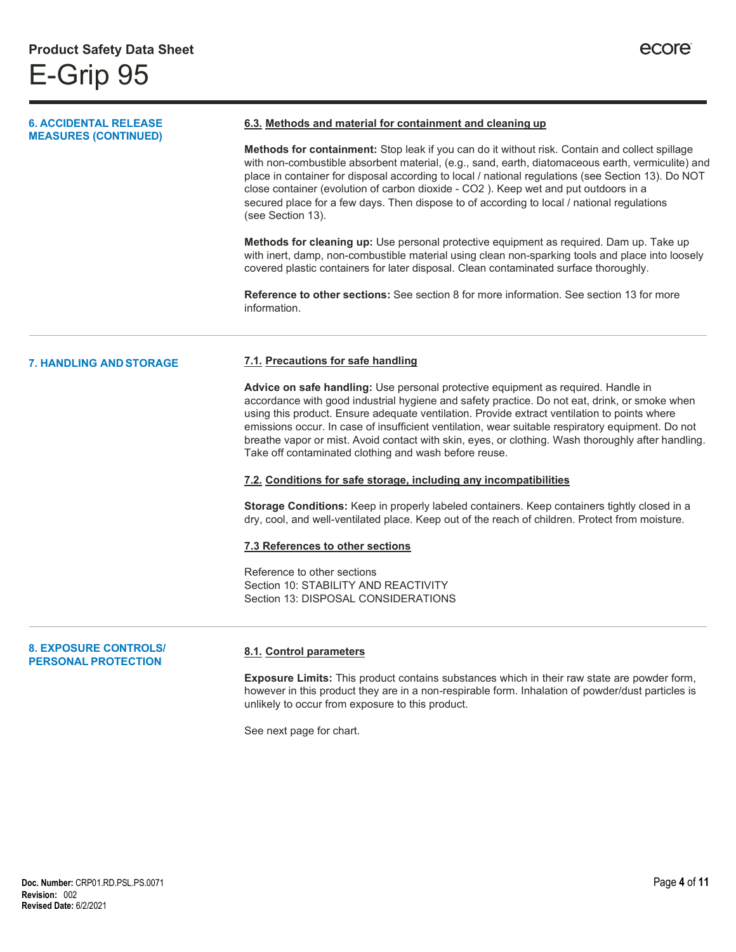#### **6. ACCIDENTAL RELEASE MEASURES (CONTINUED) 6.3. Methods and material for containment and cleaning up Methods for containment:** Stop leak if you can do it without risk. Contain and collect spillage with non-combustible absorbent material, (e.g., sand, earth, diatomaceous earth, vermiculite) and place in container for disposal according to local / national regulations (see Section 13). Do NOT close container (evolution of carbon dioxide - CO2 ). Keep wet and put outdoors in a secured place for a few days. Then dispose to of according to local / national regulations (see Section 13). **Methods for cleaning up:** Use personal protective equipment as required. Dam up. Take up

with inert, damp, non-combustible material using clean non-sparking tools and place into loosely covered plastic containers for later disposal. Clean contaminated surface thoroughly.

**Reference to other sections:** See section 8 for more information. See section 13 for more information.

#### **7. HANDLING ANDSTORAGE 7.1. Precautions for safe handling**

**Advice on safe handling:** Use personal protective equipment as required. Handle in accordance with good industrial hygiene and safety practice. Do not eat, drink, or smoke when using this product. Ensure adequate ventilation. Provide extract ventilation to points where emissions occur. In case of insufficient ventilation, wear suitable respiratory equipment. Do not breathe vapor or mist. Avoid contact with skin, eyes, or clothing. Wash thoroughly after handling. Take off contaminated clothing and wash before reuse.

#### **7.2. Conditions for safe storage, including any incompatibilities**

**Storage Conditions:** Keep in properly labeled containers. Keep containers tightly closed in a dry, cool, and well-ventilated place. Keep out of the reach of children. Protect from moisture.

#### **7.3 References to other sections**

Reference to other sections Section 10: STABILITY AND REACTIVITY Section 13: DISPOSAL CONSIDERATIONS

#### **8. EXPOSURE CONTROLS/ PERSONAL PROTECTION**

#### **8.1. Control parameters**

**Exposure Limits:** This product contains substances which in their raw state are powder form, however in this product they are in a non-respirable form. Inhalation of powder/dust particles is unlikely to occur from exposure to this product.

See next page for chart.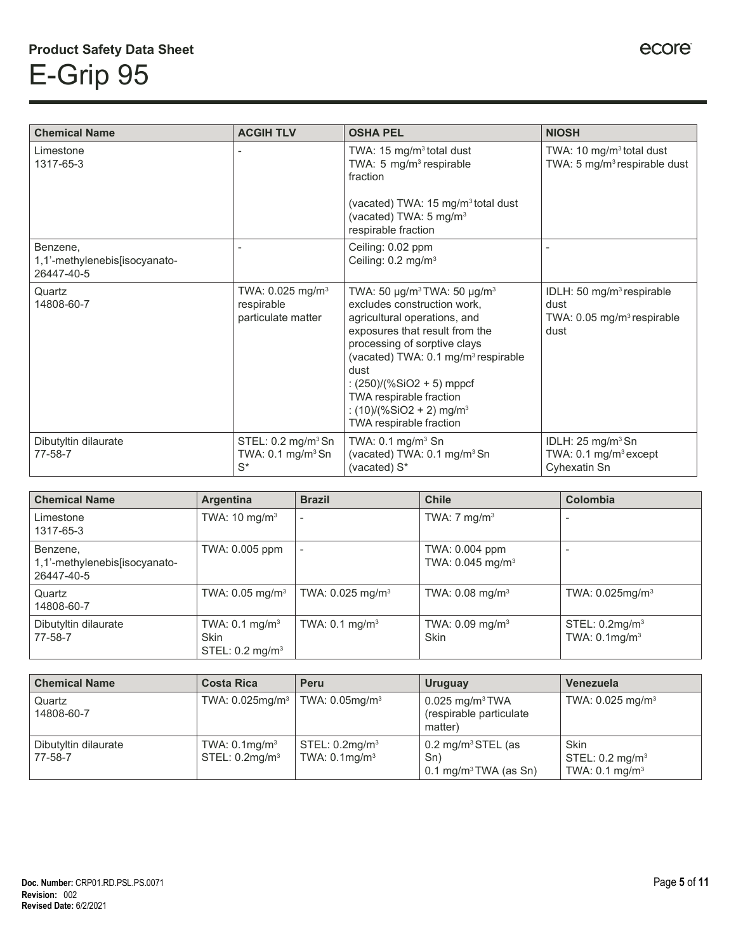| <b>Chemical Name</b>                                    | <b>ACGIH TLV</b>                                                        | <b>OSHA PEL</b>                                                                                                                                                                                                                                                                                                                                                                          | <b>NIOSH</b>                                                                                   |
|---------------------------------------------------------|-------------------------------------------------------------------------|------------------------------------------------------------------------------------------------------------------------------------------------------------------------------------------------------------------------------------------------------------------------------------------------------------------------------------------------------------------------------------------|------------------------------------------------------------------------------------------------|
| Limestone<br>1317-65-3                                  |                                                                         | TWA: 15 mg/m <sup>3</sup> total dust<br>TWA: 5 mg/m <sup>3</sup> respirable<br>fraction<br>(vacated) TWA: 15 mg/m <sup>3</sup> total dust<br>(vacated) TWA: 5 mg/m <sup>3</sup><br>respirable fraction                                                                                                                                                                                   | TWA: 10 mg/m <sup>3</sup> total dust<br>TWA: 5 mg/m <sup>3</sup> respirable dust               |
| Benzene,<br>1,1'-methylenebis[isocyanato-<br>26447-40-5 |                                                                         | Ceiling: 0.02 ppm<br>Ceiling: 0.2 mg/m <sup>3</sup>                                                                                                                                                                                                                                                                                                                                      |                                                                                                |
| Quartz<br>14808-60-7                                    | TWA: $0.025$ mg/m <sup>3</sup><br>respirable<br>particulate matter      | TWA: 50 $\mu$ g/m <sup>3</sup> TWA: 50 $\mu$ g/m <sup>3</sup><br>excludes construction work,<br>agricultural operations, and<br>exposures that result from the<br>processing of sorptive clays<br>(vacated) TWA: 0.1 mg/m <sup>3</sup> respirable<br>dust<br>: $(250)/(%SiO2 + 5)$ mppcf<br>TWA respirable fraction<br>: $(10)/(%SiO2 + 2)$ mg/m <sup>3</sup><br>TWA respirable fraction | IDLH: 50 mg/m <sup>3</sup> respirable<br>dust<br>TWA: $0.05 \text{ mg/m}^3$ respirable<br>dust |
| Dibutyltin dilaurate<br>77-58-7                         | STEL: 0.2 mg/m <sup>3</sup> Sn<br>TWA: $0.1 \text{ mg/m}^3$ Sn<br>$S^*$ | TWA: $0.1 \text{ mg/m}^3$ Sn<br>(vacated) TWA: 0.1 mg/m <sup>3</sup> Sn<br>(vacated) S*                                                                                                                                                                                                                                                                                                  | IDLH: $25 \text{ mg/m}^3$ Sn<br>TWA: $0.1 \text{ mg/m}^3$ except<br>Cyhexatin Sn               |

| <b>Chemical Name</b>                                    | <b>Argentina</b>                                                | <b>Brazil</b>                  | <b>Chile</b>                                     | Colombia                                          |
|---------------------------------------------------------|-----------------------------------------------------------------|--------------------------------|--------------------------------------------------|---------------------------------------------------|
| Limestone<br>1317-65-3                                  | TWA: $10 \text{ mg/m}^3$                                        | $\overline{\phantom{a}}$       | TWA: $7 \text{ mg/m}^3$                          | $\overline{\phantom{a}}$                          |
| Benzene,<br>1,1'-methylenebis[isocyanato-<br>26447-40-5 | TWA: 0.005 ppm                                                  |                                | TWA: 0.004 ppm<br>TWA: $0.045$ mg/m <sup>3</sup> |                                                   |
| Quartz<br>14808-60-7                                    | TWA: $0.05$ mg/m <sup>3</sup>                                   | TWA: $0.025$ mg/m <sup>3</sup> | TWA: $0.08 \text{ mg/m}^3$                       | TWA: $0.025$ mg/m <sup>3</sup>                    |
| Dibutyltin dilaurate<br>77-58-7                         | TWA: $0.1 \text{ mg/m}^3$<br>Skin<br>STEL: $0.2 \text{ mg/m}^3$ | TWA: $0.1 \text{ mg/m}^3$      | TWA: $0.09$ mg/m <sup>3</sup><br><b>Skin</b>     | STEL: 0.2mg/m <sup>3</sup><br>TWA: $0.1$ mg/m $3$ |

| <b>Chemical Name</b>            | <b>Costa Rica</b>                                    | Peru                                                   | Uruguay                                                                  | Venezuela                                                       |
|---------------------------------|------------------------------------------------------|--------------------------------------------------------|--------------------------------------------------------------------------|-----------------------------------------------------------------|
| Quartz<br>14808-60-7            | TWA: $0.025$ mg/m <sup>3</sup>                       | TWA: $0.05$ mg/m $3$                                   | $0.025$ mg/m <sup>3</sup> TWA<br>(respirable particulate)<br>matter)     | TWA: $0.025$ mg/m <sup>3</sup>                                  |
| Dibutyltin dilaurate<br>77-58-7 | TWA: $0.1$ mg/m <sup>3</sup><br>$STEL: 0.2$ mg/m $3$ | STEL: 0.2mg/m <sup>3</sup><br>TWA: $0.1 \text{mg/m}^3$ | $0.2 \text{ mg/m}^3$ STEL (as<br>Sn)<br>$0.1 \text{ mg/m}^3$ TWA (as Sn) | Skin<br>STEL: $0.2 \text{ mg/m}^3$<br>TWA: $0.1 \text{ mg/m}^3$ |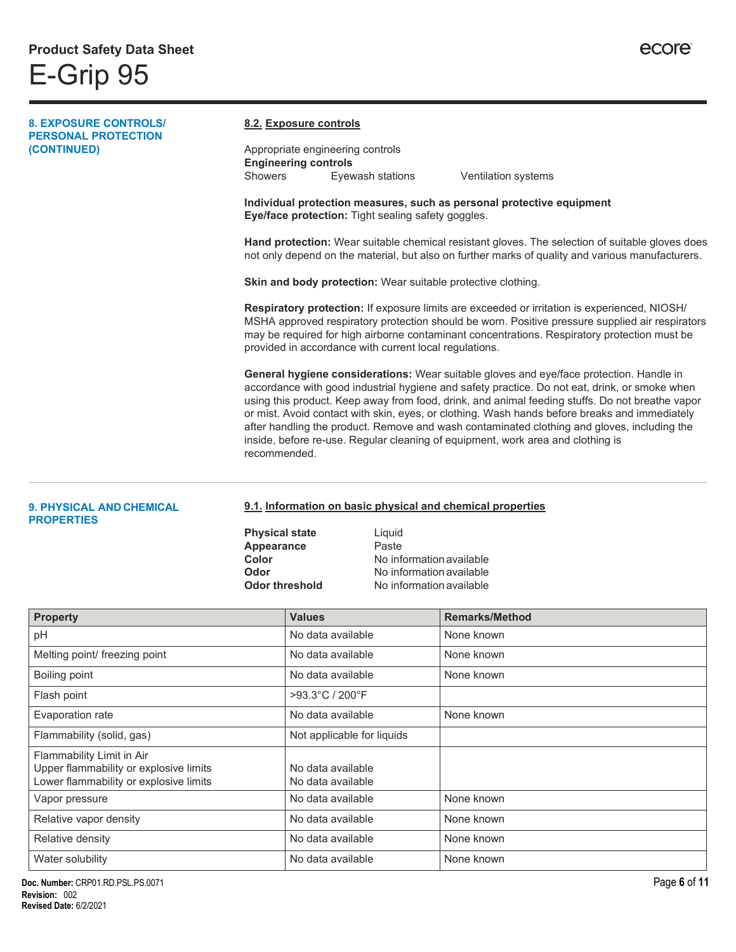#### **8. EXPOSURE CONTROLS/ PERSONAL PROTECTION (CONTINUED) 8.2. Exposure controls** Appropriate engineering controls **Engineering controls** Showers Eyewash stations Ventilation systems **Individual protection measures, such as personal protective equipment Eye/face protection:** Tight sealing safety goggles. **Hand protection:** Wear suitable chemical resistant gloves. The selection of suitable gloves does not only depend on the material, but also on further marks of quality and various manufacturers. **Skin and body protection:** Wear suitable protective clothing. **Respiratory protection:** If exposure limits are exceeded or irritation is experienced, NIOSH/ MSHA approved respiratory protection should be worn. Positive pressure supplied air respirators may be required for high airborne contaminant concentrations. Respiratory protection must be provided in accordance with current local regulations. **General hygiene considerations:** Wear suitable gloves and eye/face protection. Handle in accordance with good industrial hygiene and safety practice. Do not eat, drink, or smoke when using this product. Keep away from food, drink, and animal feeding stuffs. Do not breathe vapor or mist. Avoid contact with skin, eyes, or clothing. Wash hands before breaks and immediately after handling the product. Remove and wash contaminated clothing and gloves, including the inside, before re-use. Regular cleaning of equipment, work area and clothing is recommended.

#### **9. PHYSICAL AND CHEMICAL PROPERTIES**

#### **9.1. Information on basic physical and chemical properties**

**Physical state** Liquid **Appearance** Paste<br> **Color** No inf

**Color** No information available **Odor** No information available<br> **Odor threshold** No information available **No information available** 

| <b>Property</b>                                                                                               | <b>Values</b>                          | <b>Remarks/Method</b> |
|---------------------------------------------------------------------------------------------------------------|----------------------------------------|-----------------------|
| pH                                                                                                            | No data available                      | None known            |
| Melting point/ freezing point                                                                                 | No data available                      | None known            |
| Boiling point                                                                                                 | No data available                      | None known            |
| Flash point                                                                                                   | >93.3°C / 200°F                        |                       |
| Evaporation rate                                                                                              | No data available                      | None known            |
| Flammability (solid, gas)                                                                                     | Not applicable for liquids             |                       |
| Flammability Limit in Air<br>Upper flammability or explosive limits<br>Lower flammability or explosive limits | No data available<br>No data available |                       |
| Vapor pressure                                                                                                | No data available                      | None known            |
| Relative vapor density                                                                                        | No data available                      | None known            |
| Relative density                                                                                              | No data available                      | None known            |
| Water solubility                                                                                              | No data available                      | None known            |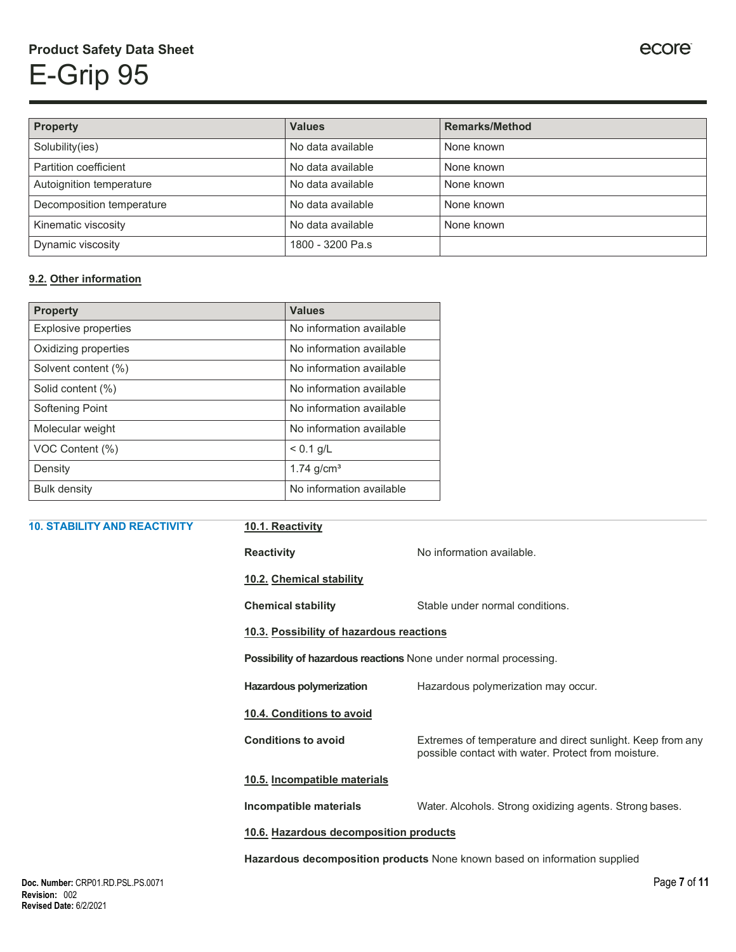# **Product Safety Data Sheet** E-Grip 95

| Property                  | <b>Values</b>     | <b>Remarks/Method</b> |
|---------------------------|-------------------|-----------------------|
| Solubility(ies)           | No data available | None known            |
| Partition coefficient     | No data available | None known            |
| Autoignition temperature  | No data available | None known            |
| Decomposition temperature | No data available | None known            |
| Kinematic viscosity       | No data available | None known            |
| Dynamic viscosity         | 1800 - 3200 Pa.s  |                       |

### **9.2. Other information**

| <b>Property</b>      | <b>Values</b>            |
|----------------------|--------------------------|
| Explosive properties | No information available |
| Oxidizing properties | No information available |
| Solvent content (%)  | No information available |
| Solid content (%)    | No information available |
| Softening Point      | No information available |
| Molecular weight     | No information available |
| VOC Content (%)      | $< 0.1$ g/L              |
| Density              | 1.74 $q/cm3$             |
| <b>Bulk density</b>  | No information available |

| <b>10. STABILITY AND REACTIVITY</b> | 10.1. Reactivity                                                          |                                                                                                                   |  |  |
|-------------------------------------|---------------------------------------------------------------------------|-------------------------------------------------------------------------------------------------------------------|--|--|
|                                     | <b>Reactivity</b>                                                         | No information available.                                                                                         |  |  |
|                                     | 10.2. Chemical stability                                                  |                                                                                                                   |  |  |
|                                     | <b>Chemical stability</b>                                                 | Stable under normal conditions.                                                                                   |  |  |
|                                     | 10.3. Possibility of hazardous reactions                                  |                                                                                                                   |  |  |
|                                     | Possibility of hazardous reactions None under normal processing.          |                                                                                                                   |  |  |
|                                     | Hazardous polymerization                                                  | Hazardous polymerization may occur.                                                                               |  |  |
|                                     | 10.4. Conditions to avoid                                                 |                                                                                                                   |  |  |
|                                     | <b>Conditions to avoid</b>                                                | Extremes of temperature and direct sunlight. Keep from any<br>possible contact with water. Protect from moisture. |  |  |
|                                     | 10.5. Incompatible materials                                              |                                                                                                                   |  |  |
|                                     | Incompatible materials                                                    | Water. Alcohols. Strong oxidizing agents. Strong bases.                                                           |  |  |
|                                     | 10.6. Hazardous decomposition products                                    |                                                                                                                   |  |  |
|                                     | Hazardous decomposition products None known based on information supplied |                                                                                                                   |  |  |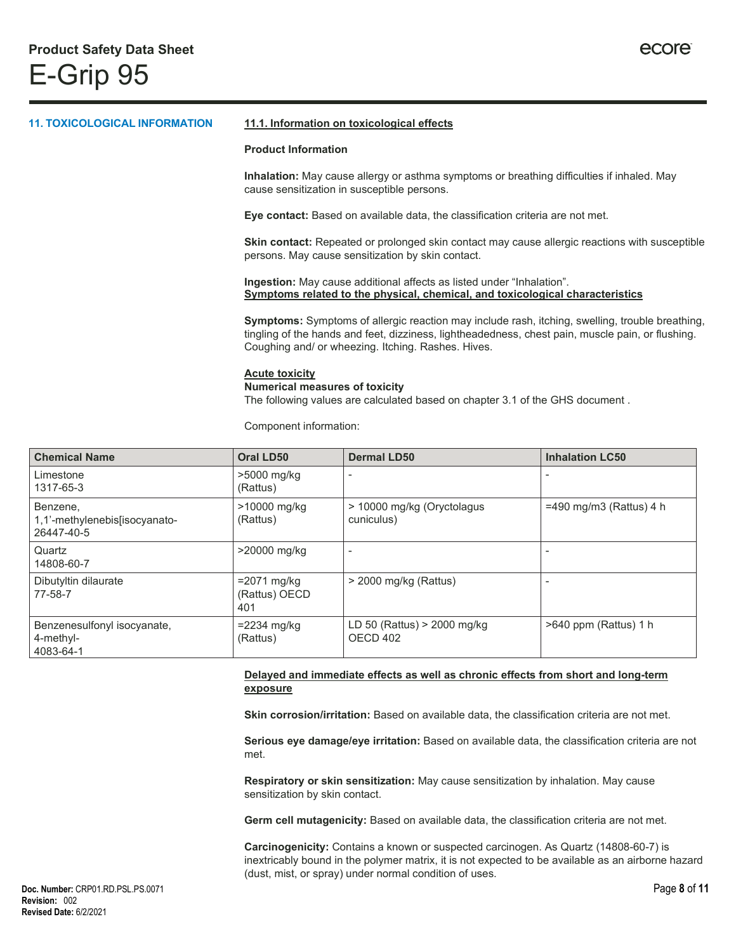## **11. TOXICOLOGICAL INFORMATION 11.1. Information on toxicological effects Product Information Inhalation:** May cause allergy or asthma symptoms or breathing difficulties if inhaled. May cause sensitization in susceptible persons. **Eye contact:** Based on available data, the classification criteria are not met. **Skin contact:** Repeated or prolonged skin contact may cause allergic reactions with susceptible persons. May cause sensitization by skin contact. **Ingestion:** May cause additional affects as listed under "Inhalation". **Symptoms related to the physical, chemical, and toxicological characteristics Symptoms:** Symptoms of allergic reaction may include rash, itching, swelling, trouble breathing, tingling of the hands and feet, dizziness, lightheadedness, chest pain, muscle pain, or flushing. Coughing and/ or wheezing. Itching. Rashes. Hives. **Acute toxicity Numerical measures of toxicity**

The following values are calculated based on chapter 3.1 of the GHS document .

Component information:

| <b>Chemical Name</b>                                     | Oral LD50                             | <b>Dermal LD50</b>                       | <b>Inhalation LC50</b>    |
|----------------------------------------------------------|---------------------------------------|------------------------------------------|---------------------------|
| Limestone<br>1317-65-3                                   | >5000 mg/kg<br>(Rattus)               |                                          |                           |
| Benzene,<br>1,1'-methylenebis[isocyanato-<br>26447-40-5  | >10000 mg/kg<br>(Rattus)              | > 10000 mg/kg (Oryctolagus<br>cuniculus) | $=490$ mg/m3 (Rattus) 4 h |
| Quartz<br>14808-60-7                                     | >20000 mg/kg                          |                                          |                           |
| Dibutyltin dilaurate<br>77-58-7                          | $=2071$ mg/kg<br>(Rattus) OECD<br>401 | > 2000 mg/kg (Rattus)                    |                           |
| Benzenesulfonyl isocyanate,<br>$4$ -methyl-<br>4083-64-1 | $= 2234$ mg/kg<br>(Rattus)            | LD 50 (Rattus) > 2000 mg/kg<br>OECD 402  | $>640$ ppm (Rattus) 1 h   |

#### **Delayed and immediate effects as well as chronic effects from short and long-term exposure**

**Skin corrosion/irritation:** Based on available data, the classification criteria are not met.

**Serious eye damage/eye irritation:** Based on available data, the classification criteria are not met.

**Respiratory or skin sensitization:** May cause sensitization by inhalation. May cause sensitization by skin contact.

**Germ cell mutagenicity:** Based on available data, the classification criteria are not met.

**Carcinogenicity:** Contains a known or suspected carcinogen. As Quartz (14808-60-7) is inextricably bound in the polymer matrix, it is not expected to be available as an airborne hazard (dust, mist, or spray) under normal condition of uses.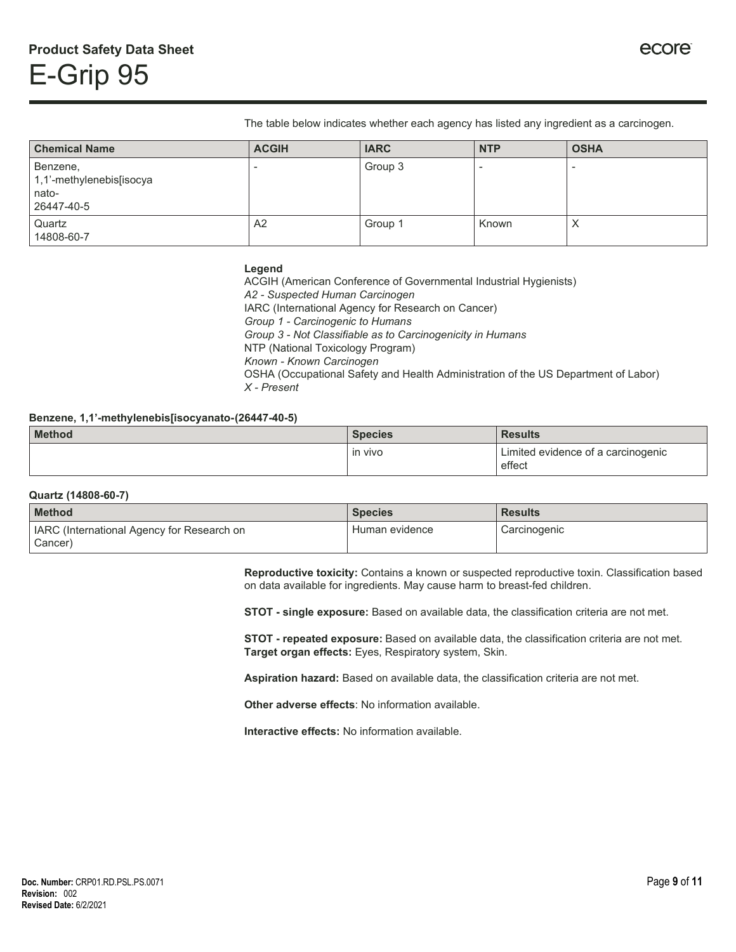The table below indicates whether each agency has listed any ingredient as a carcinogen.

| <b>Chemical Name</b>                                        | <b>ACGIH</b> | <b>IARC</b> | <b>NTP</b> | <b>OSHA</b> |
|-------------------------------------------------------------|--------------|-------------|------------|-------------|
| Benzene,<br>1,1'-methylenebis[isocya<br>nato-<br>26447-40-5 |              | Group 3     |            |             |
| Quartz<br>14808-60-7                                        | A2           | Group 1     | Known      | Х           |

#### **Legend**

ACGIH (American Conference of Governmental Industrial Hygienists) *A2 - Suspected Human Carcinogen* IARC (International Agency for Research on Cancer) *Group 1 - Carcinogenic to Humans Group 3 - Not Classifiable as to Carcinogenicity in Humans* NTP (National Toxicology Program) *Known - Known Carcinogen* OSHA (Occupational Safety and Health Administration of the US Department of Labor) *X - Present*

#### **Benzene, 1,1'-methylenebis[isocyanato-(26447-40-5)**

| <b>Method</b> | <b>Species</b> | <b>Results</b>                               |
|---------------|----------------|----------------------------------------------|
|               | in vivo        | Limited evidence of a carcinogenic<br>effect |

#### **Quartz (14808-60-7)**

| <b>Method</b>                                         | <b>Species</b> | <b>Results</b> |
|-------------------------------------------------------|----------------|----------------|
| IARC (International Agency for Research on<br>Cancer) | Human evidence | Carcinogenic   |

**Reproductive toxicity:** Contains a known or suspected reproductive toxin. Classification based on data available for ingredients. May cause harm to breast-fed children.

**STOT - single exposure:** Based on available data, the classification criteria are not met.

**STOT - repeated exposure:** Based on available data, the classification criteria are not met. **Target organ effects:** Eyes, Respiratory system, Skin.

**Aspiration hazard:** Based on available data, the classification criteria are not met.

**Other adverse effects**: No information available.

**Interactive effects:** No information available.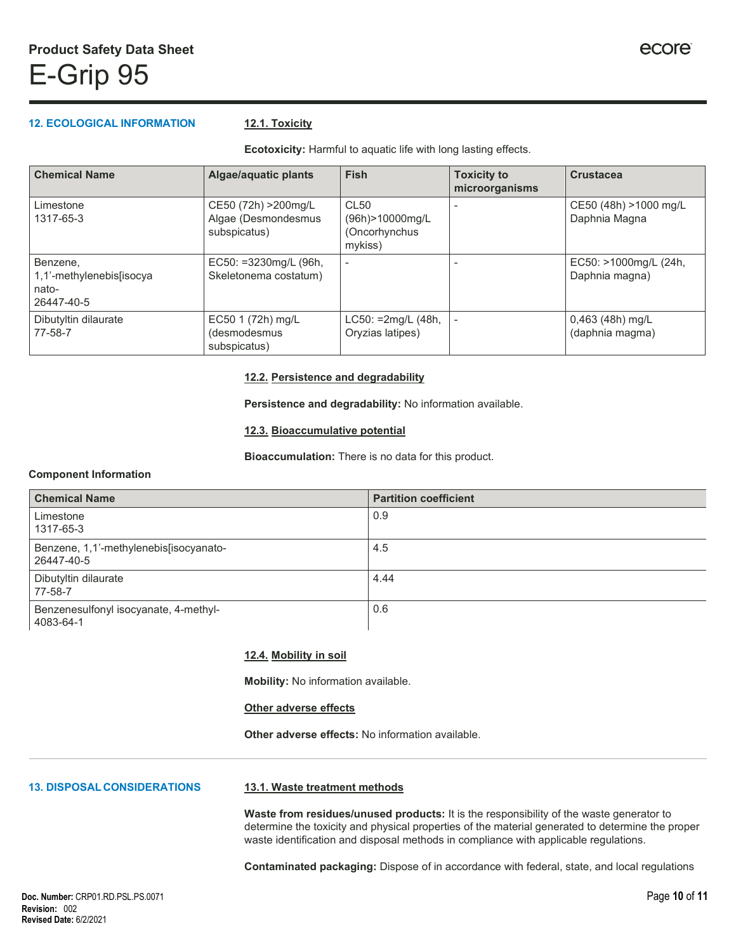#### **12. ECOLOGICAL INFORMATION 12.1. Toxicity**

**Ecotoxicity:** Harmful to aquatic life with long lasting effects.

| <b>Chemical Name</b>                                        | <b>Algae/aquatic plants</b>                                 | <b>Fish</b>                                                        | <b>Toxicity to</b><br>microorganisms | <b>Crustacea</b>                        |
|-------------------------------------------------------------|-------------------------------------------------------------|--------------------------------------------------------------------|--------------------------------------|-----------------------------------------|
| Limestone<br>1317-65-3                                      | CE50 (72h) > 200mg/L<br>Algae (Desmondesmus<br>subspicatus) | CL <sub>50</sub><br>(96h) > 10000 mg/L<br>(Oncorhynchus<br>mykiss) |                                      | CE50 (48h) >1000 mg/L<br>Daphnia Magna  |
| Benzene,<br>1,1'-methylenebis[isocya<br>nato-<br>26447-40-5 | EC50: =3230mg/L (96h,<br>Skeletonema costatum)              | $\overline{\phantom{0}}$                                           |                                      | EC50: >1000mg/L (24h,<br>Daphnia magna) |
| Dibutyltin dilaurate<br>77-58-7                             | EC50 1 (72h) mg/L<br>(desmodesmus<br>subspicatus)           | $LC50: =2mg/L (48h,$<br>Oryzias latipes)                           |                                      | 0,463 (48h) mg/L<br>(daphnia magma)     |

#### **12.2. Persistence and degradability**

**Persistence and degradability:** No information available.

#### **12.3. Bioaccumulative potential**

**Bioaccumulation:** There is no data for this product.

#### **Component Information**

| <b>Chemical Name</b>                                 | <b>Partition coefficient</b> |
|------------------------------------------------------|------------------------------|
| Limestone<br>1317-65-3                               | 0.9                          |
| Benzene, 1,1'-methylenebis[isocyanato-<br>26447-40-5 | 4.5                          |
| Dibutyltin dilaurate<br>77-58-7                      | 4.44                         |
| Benzenesulfonyl isocyanate, 4-methyl-<br>4083-64-1   | 0.6                          |

#### **12.4. Mobility in soil**

**Mobility:** No information available.

#### **Other adverse effects**

**Other adverse effects:** No information available.

#### **13. DISPOSAL CONSIDERATIONS**

#### **13.1. Waste treatment methods**

**Waste from residues/unused products:** It is the responsibility of the waste generator to determine the toxicity and physical properties of the material generated to determine the proper waste identification and disposal methods in compliance with applicable regulations.

**Contaminated packaging:** Dispose of in accordance with federal, state, and local regulations